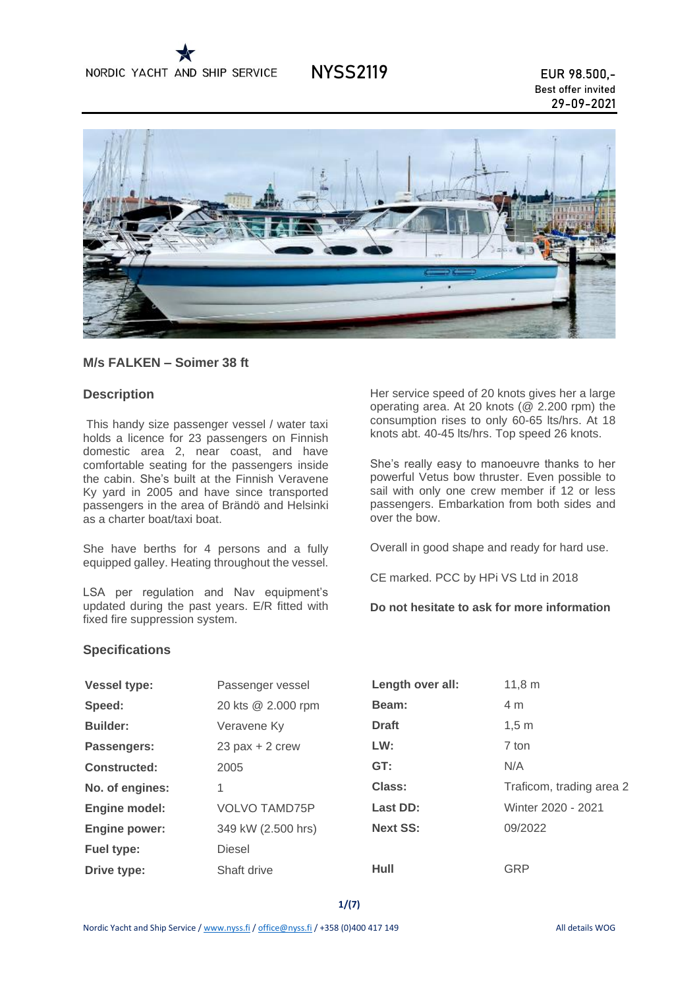## NORDIC YACHT AND SHIP SERVICE

**NYSS2119** EUR 98.500.-

Best offer invited 29-09-2021



#### **M/s FALKEN – Soimer 38 ft**

#### **Description**

This handy size passenger vessel / water taxi holds a licence for 23 passengers on Finnish domestic area 2, near coast, and have comfortable seating for the passengers inside the cabin. She's built at the Finnish Veravene Ky yard in 2005 and have since transported passengers in the area of Brändö and Helsinki as a charter boat/taxi boat.

She have berths for 4 persons and a fully equipped galley. Heating throughout the vessel.

LSA per regulation and Nav equipment's updated during the past years. E/R fitted with fixed fire suppression system.

Her service speed of 20 knots gives her a large operating area. At 20 knots (@ 2.200 rpm) the consumption rises to only 60-65 lts/hrs. At 18 knots abt. 40-45 lts/hrs. Top speed 26 knots.

She's really easy to manoeuvre thanks to her powerful Vetus bow thruster. Even possible to sail with only one crew member if 12 or less passengers. Embarkation from both sides and over the bow.

Overall in good shape and ready for hard use.

CE marked. PCC by HPi VS Ltd in 2018

**Do not hesitate to ask for more information**

#### **Specifications**

| <b>Vessel type:</b>  | Passenger vessel     | Length over all: | $11,8 \, m$              |
|----------------------|----------------------|------------------|--------------------------|
| Speed:               | 20 kts @ 2.000 rpm   | Beam:            | 4 m                      |
| <b>Builder:</b>      | Veravene Ky          | <b>Draft</b>     | 1,5m                     |
| Passengers:          | $23$ pax + 2 crew    | LW:              | 7 ton                    |
| <b>Constructed:</b>  | 2005                 | GT:              | N/A                      |
| No. of engines:      | 1                    | Class:           | Traficom, trading area 2 |
| Engine model:        | <b>VOLVO TAMD75P</b> | Last DD:         | Winter 2020 - 2021       |
| <b>Engine power:</b> | 349 kW (2.500 hrs)   | <b>Next SS:</b>  | 09/2022                  |
| <b>Fuel type:</b>    | <b>Diesel</b>        |                  |                          |
| Drive type:          | Shaft drive          | Hull             | <b>GRP</b>               |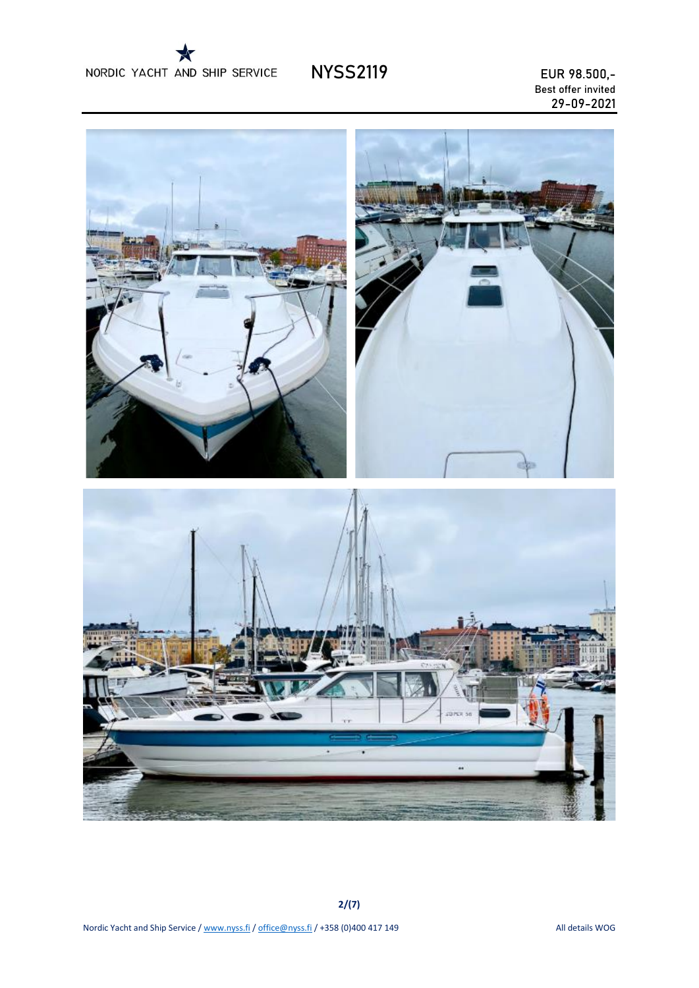# NORDIC YACHT AND SHIP SERVICE **NYSS2119** EUR 98.500,-

Best offer invited 29-09-2021

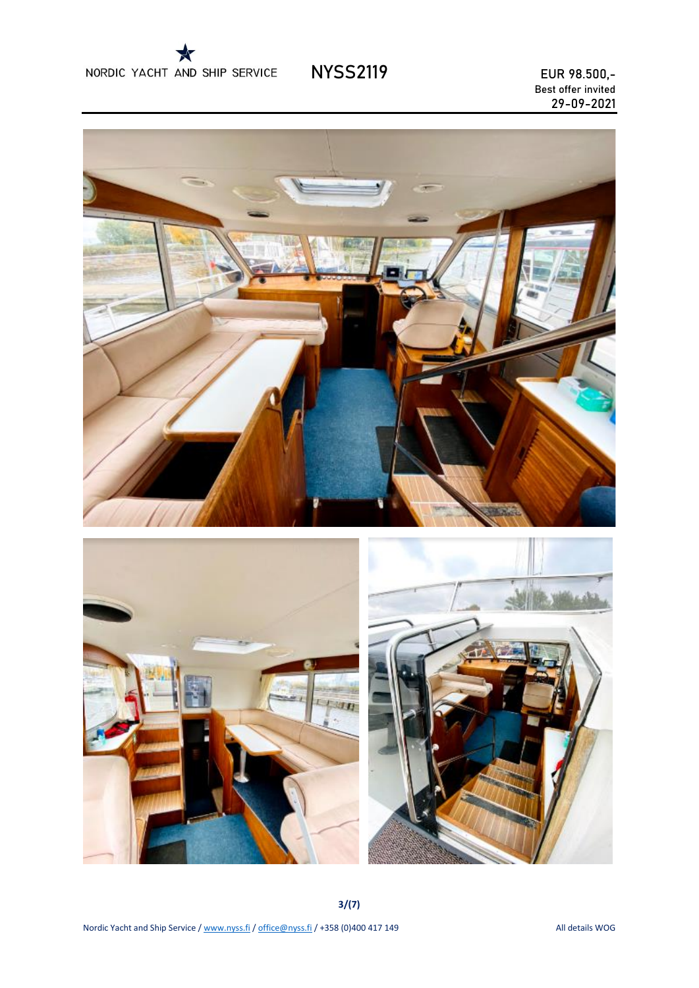#### $\mathbf{r}$ NORDIC YACHT AND SHIP SERVICE **NYSS2119** EUR 98.500,-

Best offer invited 29-09-2021





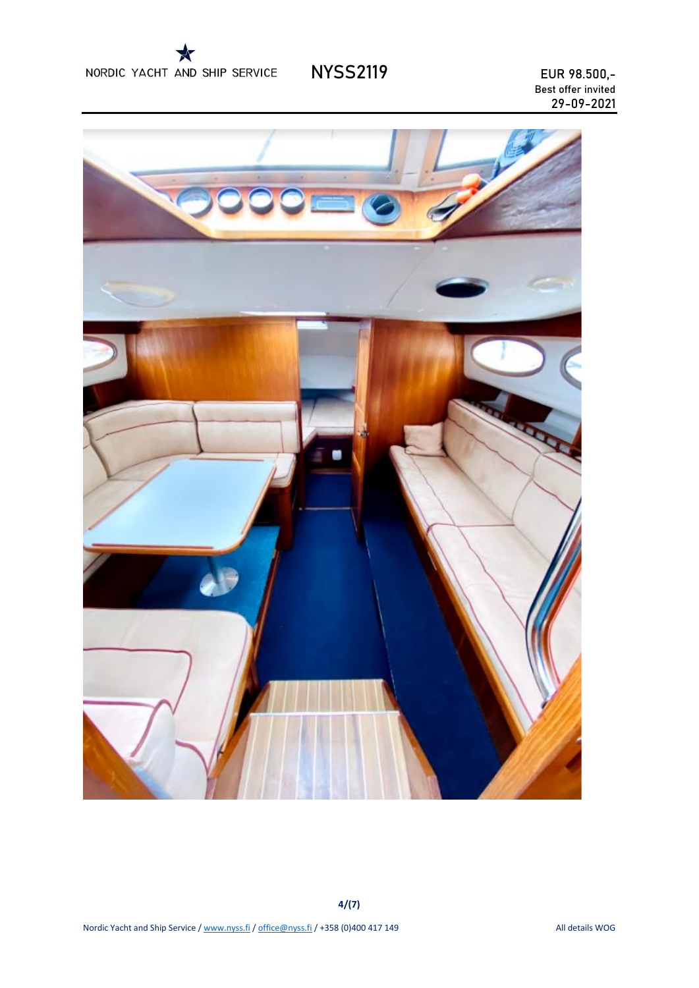

Best offer invited 29-09-2021

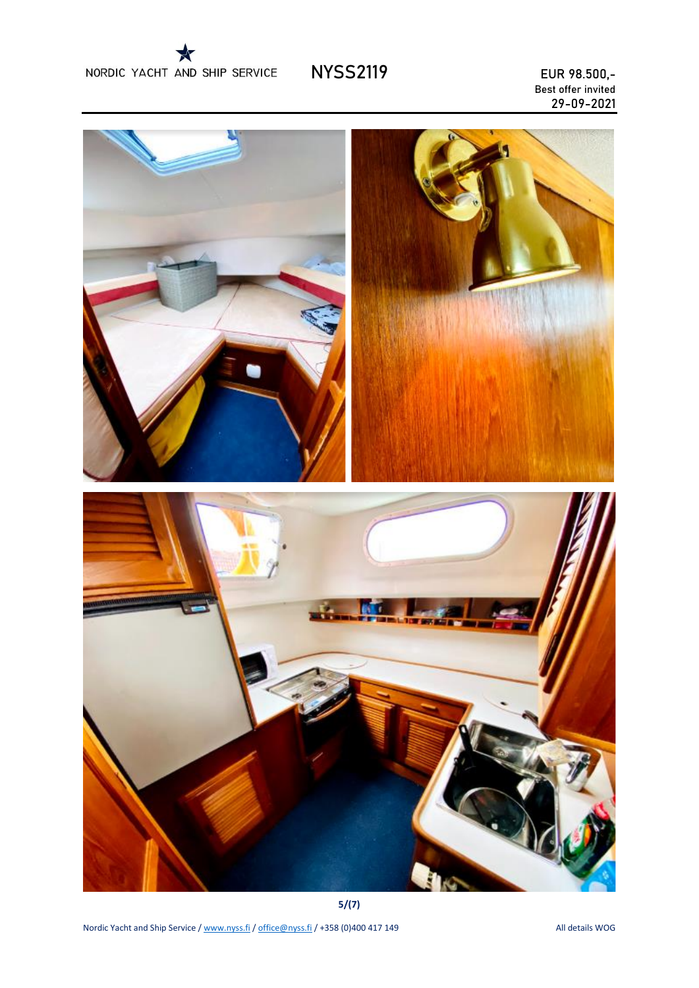#### $\mathbf{r}$ NORDIC YACHT AND SHIP SERVICE **NYSS2119** EUR 98.500,-

Best offer invited 29-09-2021

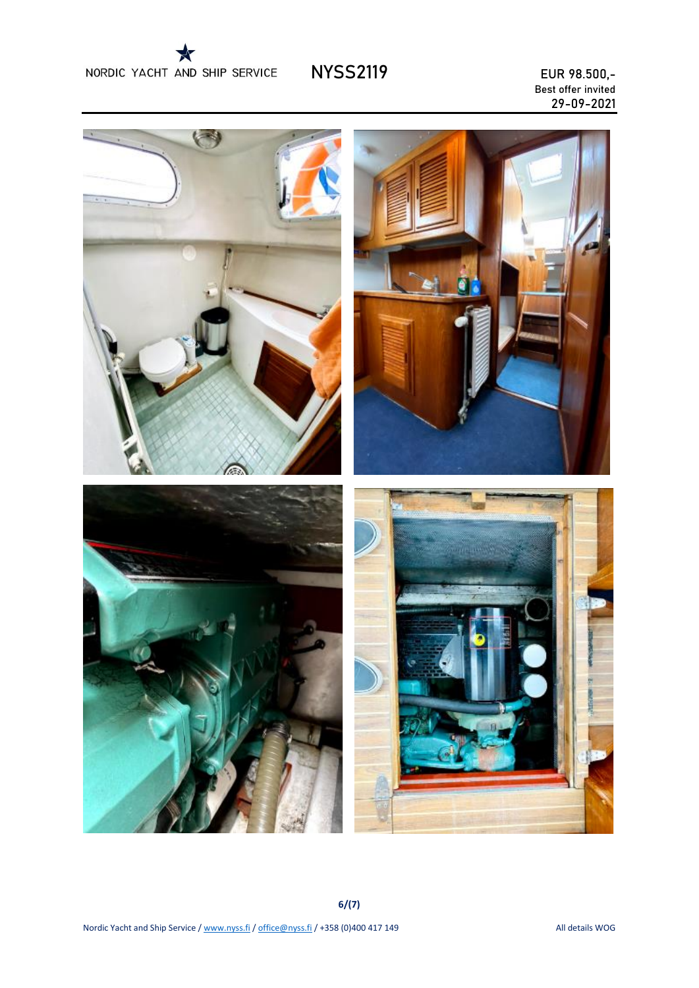### $\blacktriangleright$ NORDIC YACHT AND SHIP SERVICE **NYSS2119** EUR 98.500,-

Best offer invited 29-09-2021